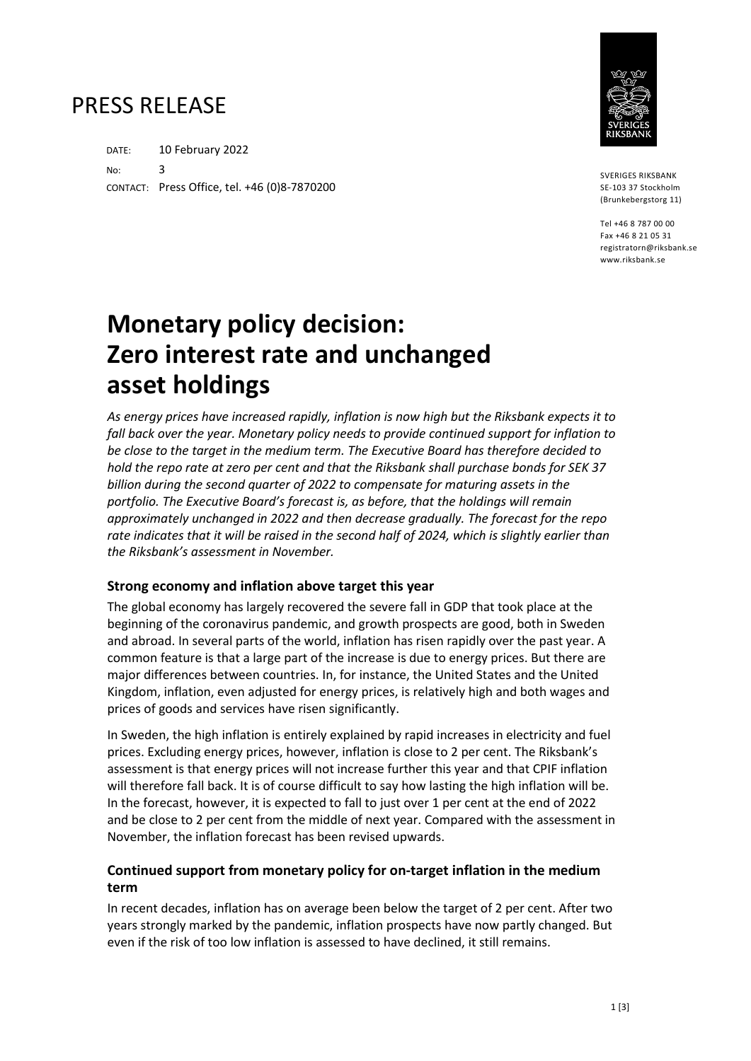## PRESS RELEASE

DATE: 10 February 2022 No: 3 CONTACT: Press Office, tel. +46 (0)8-7870200



SVERIGES RIKSBANK SE-103 37 Stockholm (Brunkebergstorg 11)

Tel +46 8 787 00 00 Fax +46 8 21 05 31 registratorn@riksbank.se www.riksbank.se

# **Monetary policy decision: Zero interest rate and unchanged asset holdings**

*As energy prices have increased rapidly, inflation is now high but the Riksbank expects it to fall back over the year. Monetary policy needs to provide continued support for inflation to be close to the target in the medium term. The Executive Board has therefore decided to hold the repo rate at zero per cent and that the Riksbank shall purchase bonds for SEK 37 billion during the second quarter of 2022 to compensate for maturing assets in the portfolio. The Executive Board's forecast is, as before, that the holdings will remain approximately unchanged in 2022 and then decrease gradually. The forecast for the repo*  rate indicates that it will be raised in the second half of 2024, which is slightly earlier than *the Riksbank's assessment in November.* 

#### **Strong economy and inflation above target this year**

The global economy has largely recovered the severe fall in GDP that took place at the beginning of the coronavirus pandemic, and growth prospects are good, both in Sweden and abroad. In several parts of the world, inflation has risen rapidly over the past year. A common feature is that a large part of the increase is due to energy prices. But there are major differences between countries. In, for instance, the United States and the United Kingdom, inflation, even adjusted for energy prices, is relatively high and both wages and prices of goods and services have risen significantly.

In Sweden, the high inflation is entirely explained by rapid increases in electricity and fuel prices. Excluding energy prices, however, inflation is close to 2 per cent. The Riksbank's assessment is that energy prices will not increase further this year and that CPIF inflation will therefore fall back. It is of course difficult to say how lasting the high inflation will be. In the forecast, however, it is expected to fall to just over 1 per cent at the end of 2022 and be close to 2 per cent from the middle of next year. Compared with the assessment in November, the inflation forecast has been revised upwards.

### **Continued support from monetary policy for on-target inflation in the medium term**

In recent decades, inflation has on average been below the target of 2 per cent. After two years strongly marked by the pandemic, inflation prospects have now partly changed. But even if the risk of too low inflation is assessed to have declined, it still remains.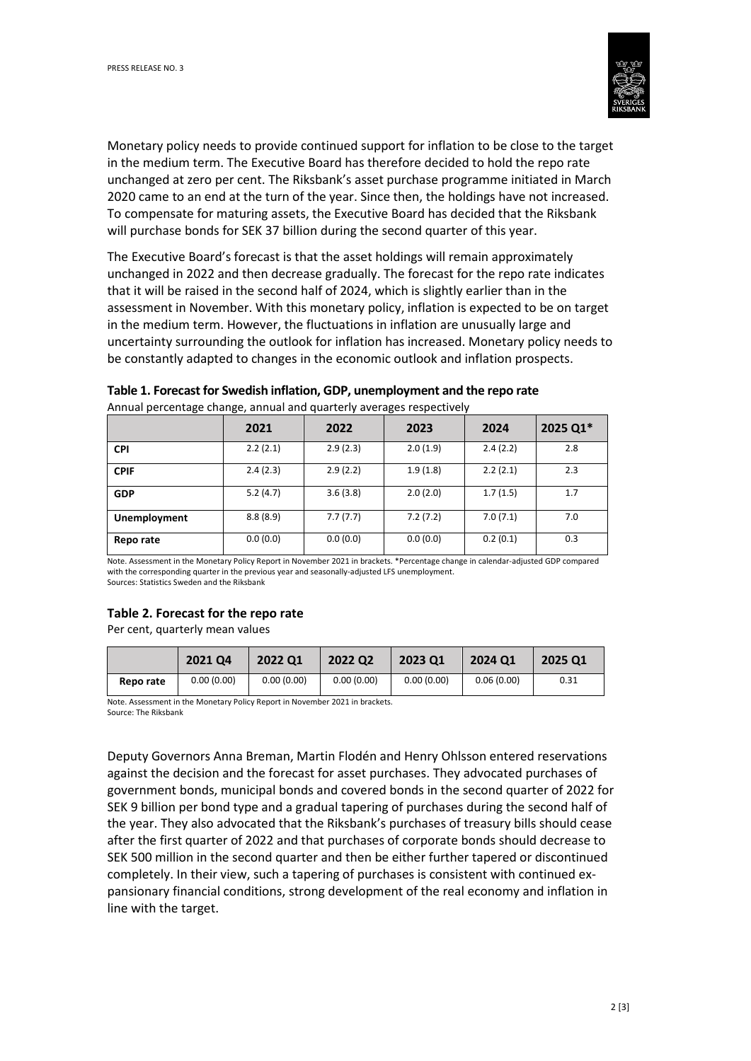

Monetary policy needs to provide continued support for inflation to be close to the target in the medium term. The Executive Board has therefore decided to hold the repo rate unchanged at zero per cent. The Riksbank's asset purchase programme initiated in March 2020 came to an end at the turn of the year. Since then, the holdings have not increased. To compensate for maturing assets, the Executive Board has decided that the Riksbank will purchase bonds for SEK 37 billion during the second quarter of this year.

The Executive Board's forecast is that the asset holdings will remain approximately unchanged in 2022 and then decrease gradually. The forecast for the repo rate indicates that it will be raised in the second half of 2024, which is slightly earlier than in the assessment in November. With this monetary policy, inflation is expected to be on target in the medium term. However, the fluctuations in inflation are unusually large and uncertainty surrounding the outlook for inflation has increased. Monetary policy needs to be constantly adapted to changes in the economic outlook and inflation prospects.

| rumaan percentage enange, annaan ana qaarteny averages respectively |          |          |          |          |          |  |  |  |  |
|---------------------------------------------------------------------|----------|----------|----------|----------|----------|--|--|--|--|
|                                                                     | 2021     | 2022     | 2023     | 2024     | 2025 Q1* |  |  |  |  |
| <b>CPI</b>                                                          | 2.2(2.1) | 2.9(2.3) | 2.0(1.9) | 2.4(2.2) | 2.8      |  |  |  |  |
| <b>CPIF</b>                                                         | 2.4(2.3) | 2.9(2.2) | 1.9(1.8) | 2.2(2.1) | 2.3      |  |  |  |  |
| <b>GDP</b>                                                          | 5.2(4.7) | 3.6(3.8) | 2.0(2.0) | 1.7(1.5) | 1.7      |  |  |  |  |
| <b>Unemployment</b>                                                 | 8.8(8.9) | 7.7(7.7) | 7.2(7.2) | 7.0(7.1) | 7.0      |  |  |  |  |
| Repo rate                                                           | 0.0(0.0) | 0.0(0.0) | 0.0(0.0) | 0.2(0.1) | 0.3      |  |  |  |  |

### **Table 1. Forecast for Swedish inflation, GDP, unemployment and the repo rate**

Annual percentage change, annual and quarterly averages respectively

Note. Assessment in the Monetary Policy Report in November 2021 in brackets. \*Percentage change in calendar-adjusted GDP compared with the corresponding quarter in the previous year and seasonally-adjusted LFS unemployment. Sources: Statistics Sweden and the Riksbank

#### **Table 2. Forecast for the repo rate**

Per cent, quarterly mean values

|           | 2021 04    | 2022 Q1    | 2022 Q2    | 2023 01    | <b>2024 Q1</b> | 2025 01 |
|-----------|------------|------------|------------|------------|----------------|---------|
| Repo rate | 0.00(0.00) | 0.00(0.00) | 0.00(0.00) | 0.00(0.00) | 0.06(0.00)     | 0.31    |

Note. Assessment in the Monetary Policy Report in November 2021 in brackets. Source: The Riksbank

Deputy Governors Anna Breman, Martin Flodén and Henry Ohlsson entered reservations against the decision and the forecast for asset purchases. They advocated purchases of government bonds, municipal bonds and covered bonds in the second quarter of 2022 for SEK 9 billion per bond type and a gradual tapering of purchases during the second half of the year. They also advocated that the Riksbank's purchases of treasury bills should cease after the first quarter of 2022 and that purchases of corporate bonds should decrease to SEK 500 million in the second quarter and then be either further tapered or discontinued completely. In their view, such a tapering of purchases is consistent with continued expansionary financial conditions, strong development of the real economy and inflation in line with the target.